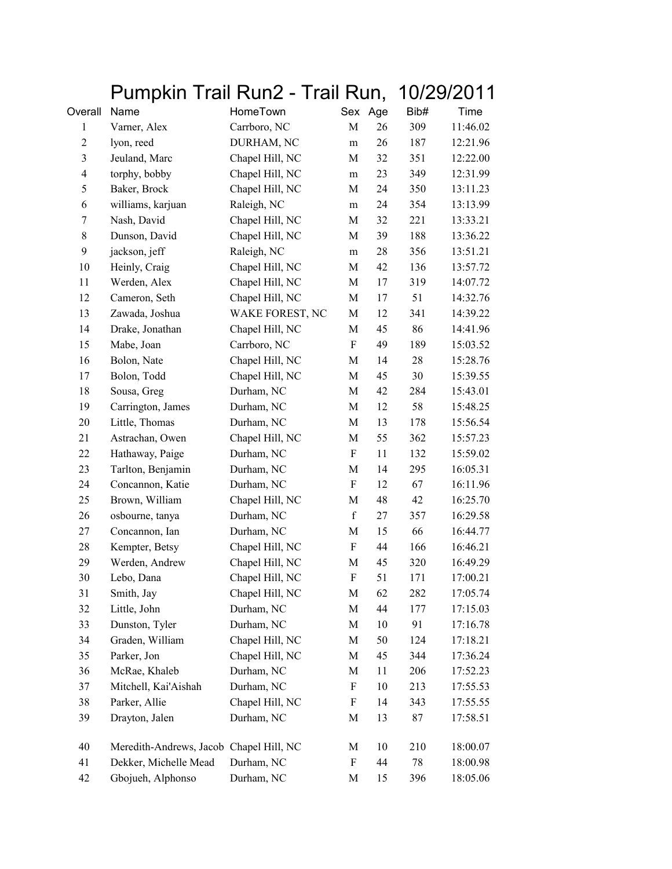|                |                                         | Pumpkin Trail Run2 - Trail Run, |                           |         | 10/29/2011 |          |
|----------------|-----------------------------------------|---------------------------------|---------------------------|---------|------------|----------|
| Overall        | Name                                    | HomeTown                        |                           | Sex Age | Bib#       | Time     |
| 1              | Varner, Alex                            | Carrboro, NC                    | M                         | 26      | 309        | 11:46.02 |
| $\overline{2}$ | lyon, reed                              | DURHAM, NC                      | m                         | 26      | 187        | 12:21.96 |
| 3              | Jeuland, Marc                           | Chapel Hill, NC                 | M                         | 32      | 351        | 12:22.00 |
| $\overline{4}$ | torphy, bobby                           | Chapel Hill, NC                 | m                         | 23      | 349        | 12:31.99 |
| 5              | Baker, Brock                            | Chapel Hill, NC                 | M                         | 24      | 350        | 13:11.23 |
| 6              | williams, karjuan                       | Raleigh, NC                     | ${\bf m}$                 | 24      | 354        | 13:13.99 |
| 7              | Nash, David                             | Chapel Hill, NC                 | M                         | 32      | 221        | 13:33.21 |
| 8              | Dunson, David                           | Chapel Hill, NC                 | M                         | 39      | 188        | 13:36.22 |
| 9              | jackson, jeff                           | Raleigh, NC                     | m                         | 28      | 356        | 13:51.21 |
| 10             | Heinly, Craig                           | Chapel Hill, NC                 | M                         | 42      | 136        | 13:57.72 |
| 11             | Werden, Alex                            | Chapel Hill, NC                 | M                         | 17      | 319        | 14:07.72 |
| 12             | Cameron, Seth                           | Chapel Hill, NC                 | $\mathbf M$               | 17      | 51         | 14:32.76 |
| 13             | Zawada, Joshua                          | WAKE FOREST, NC                 | M                         | 12      | 341        | 14:39.22 |
| 14             | Drake, Jonathan                         | Chapel Hill, NC                 | M                         | 45      | 86         | 14:41.96 |
| 15             | Mabe, Joan                              | Carrboro, NC                    | ${\bf F}$                 | 49      | 189        | 15:03.52 |
| 16             | Bolon, Nate                             | Chapel Hill, NC                 | M                         | 14      | 28         | 15:28.76 |
| 17             | Bolon, Todd                             | Chapel Hill, NC                 | M                         | 45      | 30         | 15:39.55 |
| 18             | Sousa, Greg                             | Durham, NC                      | M                         | 42      | 284        | 15:43.01 |
| 19             | Carrington, James                       | Durham, NC                      | M                         | 12      | 58         | 15:48.25 |
| 20             | Little, Thomas                          | Durham, NC                      | M                         | 13      | 178        | 15:56.54 |
| 21             | Astrachan, Owen                         | Chapel Hill, NC                 | M                         | 55      | 362        | 15:57.23 |
| 22             | Hathaway, Paige                         | Durham, NC                      | $\boldsymbol{\mathrm{F}}$ | 11      | 132        | 15:59.02 |
| 23             | Tarlton, Benjamin                       | Durham, NC                      | $\mathbf M$               | 14      | 295        | 16:05.31 |
| 24             | Concannon, Katie                        | Durham, NC                      | F                         | 12      | 67         | 16:11.96 |
| 25             | Brown, William                          | Chapel Hill, NC                 | M                         | 48      | 42         | 16:25.70 |
| 26             | osbourne, tanya                         | Durham, NC                      | $\mathbf f$               | 27      | 357        | 16:29.58 |
| 27             | Concannon, Ian                          | Durham, NC                      | M                         | 15      | 66         | 16:44.77 |
| 28             | Kempter, Betsy                          | Chapel Hill, NC                 | F                         | 44      | 166        | 16:46.21 |
| 29             | Werden, Andrew                          | Chapel Hill, NC                 | M                         | 45      | 320        | 16:49.29 |
| 30             | Lebo, Dana                              | Chapel Hill, NC                 | F                         | 51      | 171        | 17:00.21 |
| 31             | Smith, Jay                              | Chapel Hill, NC                 | M                         | 62      | 282        | 17:05.74 |
| 32             | Little, John                            | Durham, NC                      | M                         | 44      | 177        | 17:15.03 |
| 33             | Dunston, Tyler                          | Durham, NC                      | $\mathbf M$               | 10      | 91         | 17:16.78 |
| 34             | Graden, William                         | Chapel Hill, NC                 | $\mathbf M$               | 50      | 124        | 17:18.21 |
| 35             | Parker, Jon                             | Chapel Hill, NC                 | M                         | 45      | 344        | 17:36.24 |
| 36             | McRae, Khaleb                           | Durham, NC                      | M                         | 11      | 206        | 17:52.23 |
| 37             | Mitchell, Kai'Aishah                    | Durham, NC                      | $\boldsymbol{\mathrm{F}}$ | 10      | 213        | 17:55.53 |
| 38             | Parker, Allie                           | Chapel Hill, NC                 | F                         | 14      | 343        | 17:55.55 |
| 39             | Drayton, Jalen                          | Durham, NC                      | M                         | 13      | 87         | 17:58.51 |
| 40             | Meredith-Andrews, Jacob Chapel Hill, NC |                                 | M                         | 10      | 210        | 18:00.07 |
| 41             | Dekker, Michelle Mead                   | Durham, NC                      | F                         | 44      | 78         | 18:00.98 |
| 42             | Gbojueh, Alphonso                       | Durham, NC                      | M                         | 15      | 396        | 18:05.06 |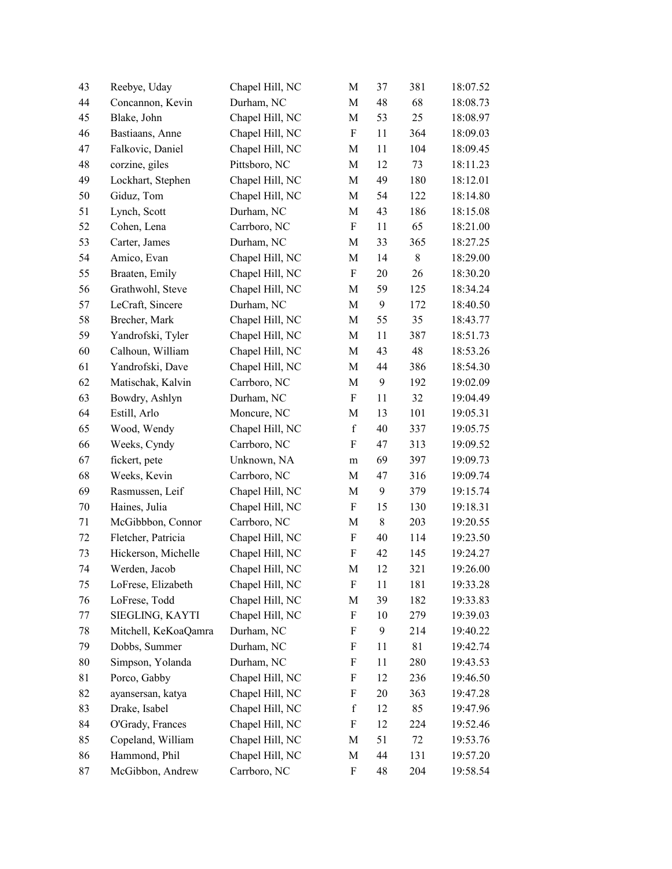| 43 | Reebye, Uday         | Chapel Hill, NC | M                         | 37               | 381   | 18:07.52 |
|----|----------------------|-----------------|---------------------------|------------------|-------|----------|
| 44 | Concannon, Kevin     | Durham, NC      | M                         | 48               | 68    | 18:08.73 |
| 45 | Blake, John          | Chapel Hill, NC | M                         | 53               | 25    | 18:08.97 |
| 46 | Bastiaans, Anne      | Chapel Hill, NC | $\boldsymbol{\mathrm{F}}$ | 11               | 364   | 18:09.03 |
| 47 | Falkovic, Daniel     | Chapel Hill, NC | M                         | 11               | 104   | 18:09.45 |
| 48 | corzine, giles       | Pittsboro, NC   | M                         | 12               | 73    | 18:11.23 |
| 49 | Lockhart, Stephen    | Chapel Hill, NC | M                         | 49               | 180   | 18:12.01 |
| 50 | Giduz, Tom           | Chapel Hill, NC | М                         | 54               | 122   | 18:14.80 |
| 51 | Lynch, Scott         | Durham, NC      | M                         | 43               | 186   | 18:15.08 |
| 52 | Cohen, Lena          | Carrboro, NC    | $\boldsymbol{F}$          | 11               | 65    | 18:21.00 |
| 53 | Carter, James        | Durham, NC      | M                         | 33               | 365   | 18:27.25 |
| 54 | Amico, Evan          | Chapel Hill, NC | M                         | 14               | $8\,$ | 18:29.00 |
| 55 | Braaten, Emily       | Chapel Hill, NC | $\boldsymbol{\mathrm{F}}$ | 20               | 26    | 18:30.20 |
| 56 | Grathwohl, Steve     | Chapel Hill, NC | M                         | 59               | 125   | 18:34.24 |
| 57 | LeCraft, Sincere     | Durham, NC      | M                         | 9                | 172   | 18:40.50 |
| 58 | Brecher, Mark        | Chapel Hill, NC | M                         | 55               | 35    | 18:43.77 |
| 59 | Yandrofski, Tyler    | Chapel Hill, NC | M                         | 11               | 387   | 18:51.73 |
| 60 | Calhoun, William     | Chapel Hill, NC | М                         | 43               | 48    | 18:53.26 |
| 61 | Yandrofski, Dave     | Chapel Hill, NC | M                         | 44               | 386   | 18:54.30 |
| 62 | Matischak, Kalvin    | Carrboro, NC    | М                         | $\boldsymbol{9}$ | 192   | 19:02.09 |
| 63 | Bowdry, Ashlyn       | Durham, NC      | F                         | 11               | 32    | 19:04.49 |
| 64 | Estill, Arlo         | Moncure, NC     | M                         | 13               | 101   | 19:05.31 |
| 65 | Wood, Wendy          | Chapel Hill, NC | $\mathbf f$               | 40               | 337   | 19:05.75 |
| 66 | Weeks, Cyndy         | Carrboro, NC    | F                         | 47               | 313   | 19:09.52 |
| 67 | fickert, pete        | Unknown, NA     | m                         | 69               | 397   | 19:09.73 |
| 68 | Weeks, Kevin         | Carrboro, NC    | M                         | 47               | 316   | 19:09.74 |
| 69 | Rasmussen, Leif      | Chapel Hill, NC | M                         | 9                | 379   | 19:15.74 |
| 70 | Haines, Julia        | Chapel Hill, NC | $\boldsymbol{\mathrm{F}}$ | 15               | 130   | 19:18.31 |
| 71 | McGibbbon, Connor    | Carrboro, NC    | M                         | $8\,$            | 203   | 19:20.55 |
| 72 | Fletcher, Patricia   | Chapel Hill, NC | F                         | 40               | 114   | 19:23.50 |
| 73 | Hickerson, Michelle  | Chapel Hill, NC | ${\bf F}$                 | 42               | 145   | 19:24.27 |
| 74 | Werden, Jacob        | Chapel Hill, NC | M                         | 12               | 321   | 19:26.00 |
| 75 | LoFrese, Elizabeth   | Chapel Hill, NC | F                         | 11               | 181   | 19:33.28 |
| 76 | LoFrese, Todd        | Chapel Hill, NC | M                         | 39               | 182   | 19:33.83 |
| 77 | SIEGLING, KAYTI      | Chapel Hill, NC | F                         | 10               | 279   | 19:39.03 |
| 78 | Mitchell, KeKoaQamra | Durham, NC      | F                         | 9                | 214   | 19:40.22 |
| 79 | Dobbs, Summer        | Durham, NC      | F                         | 11               | 81    | 19:42.74 |
| 80 | Simpson, Yolanda     | Durham, NC      | F                         | 11               | 280   | 19:43.53 |
| 81 | Porco, Gabby         | Chapel Hill, NC | F                         | 12               | 236   | 19:46.50 |
| 82 | ayansersan, katya    | Chapel Hill, NC | F                         | 20               | 363   | 19:47.28 |
| 83 | Drake, Isabel        | Chapel Hill, NC | $\mathbf f$               | 12               | 85    | 19:47.96 |
| 84 | O'Grady, Frances     | Chapel Hill, NC | $\boldsymbol{\mathrm{F}}$ | 12               | 224   | 19:52.46 |
| 85 | Copeland, William    | Chapel Hill, NC | M                         | 51               | 72    | 19:53.76 |
| 86 | Hammond, Phil        | Chapel Hill, NC | M                         | 44               | 131   | 19:57.20 |
| 87 | McGibbon, Andrew     | Carrboro, NC    | F                         | 48               | 204   | 19:58.54 |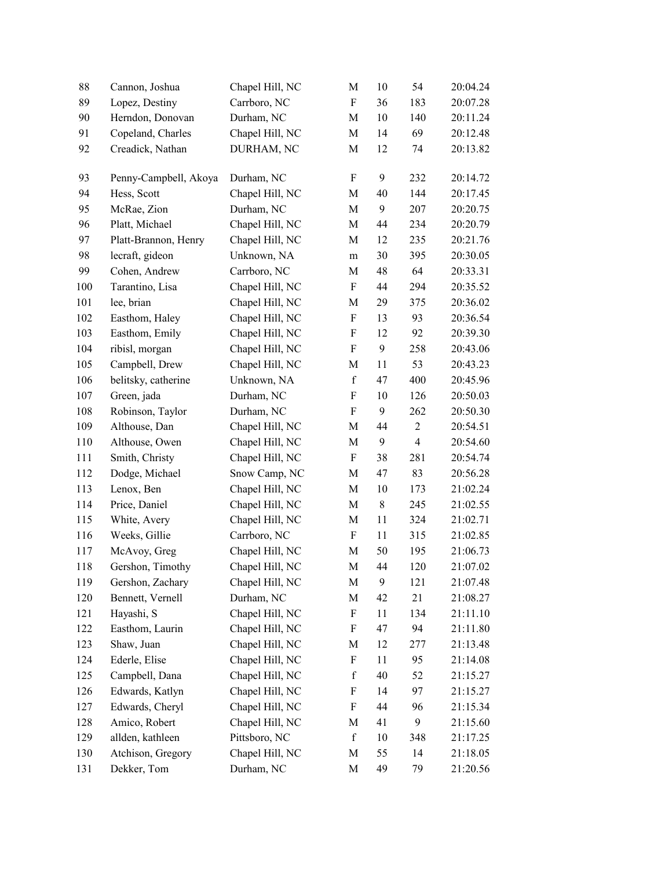| 88  | Cannon, Joshua        | Chapel Hill, NC | M                         | 10    | 54             | 20:04.24 |
|-----|-----------------------|-----------------|---------------------------|-------|----------------|----------|
| 89  | Lopez, Destiny        | Carrboro, NC    | $\boldsymbol{\mathrm{F}}$ | 36    | 183            | 20:07.28 |
| 90  | Herndon, Donovan      | Durham, NC      | M                         | 10    | 140            | 20:11.24 |
| 91  | Copeland, Charles     | Chapel Hill, NC | M                         | 14    | 69             | 20:12.48 |
| 92  | Creadick, Nathan      | DURHAM, NC      | M                         | 12    | 74             | 20:13.82 |
| 93  | Penny-Campbell, Akoya | Durham, NC      | $\boldsymbol{\mathrm{F}}$ | 9     | 232            | 20:14.72 |
| 94  | Hess, Scott           | Chapel Hill, NC | M                         | 40    | 144            | 20:17.45 |
| 95  | McRae, Zion           | Durham, NC      | $\mathbf M$               | 9     | 207            | 20:20.75 |
| 96  | Platt, Michael        | Chapel Hill, NC | M                         | 44    | 234            | 20:20.79 |
| 97  | Platt-Brannon, Henry  | Chapel Hill, NC | M                         | 12    | 235            | 20:21.76 |
| 98  | lecraft, gideon       | Unknown, NA     | ${\bf m}$                 | 30    | 395            | 20:30.05 |
| 99  | Cohen, Andrew         | Carrboro, NC    | M                         | 48    | 64             | 20:33.31 |
| 100 | Tarantino, Lisa       | Chapel Hill, NC | F                         | 44    | 294            | 20:35.52 |
| 101 | lee, brian            | Chapel Hill, NC | M                         | 29    | 375            | 20:36.02 |
| 102 | Easthom, Haley        | Chapel Hill, NC | F                         | 13    | 93             | 20:36.54 |
| 103 | Easthom, Emily        | Chapel Hill, NC | F                         | 12    | 92             | 20:39.30 |
| 104 | ribisl, morgan        | Chapel Hill, NC | $\boldsymbol{\mathrm{F}}$ | 9     | 258            | 20:43.06 |
| 105 | Campbell, Drew        | Chapel Hill, NC | M                         | 11    | 53             | 20:43.23 |
| 106 | belitsky, catherine   | Unknown, NA     | $\mathbf f$               | 47    | 400            | 20:45.96 |
| 107 | Green, jada           | Durham, NC      | F                         | 10    | 126            | 20:50.03 |
| 108 | Robinson, Taylor      | Durham, NC      | F                         | 9     | 262            | 20:50.30 |
| 109 | Althouse, Dan         | Chapel Hill, NC | $\mathbf M$               | 44    | $\mathbf{2}$   | 20:54.51 |
| 110 | Althouse, Owen        | Chapel Hill, NC | M                         | 9     | $\overline{4}$ | 20:54.60 |
| 111 | Smith, Christy        | Chapel Hill, NC | $\boldsymbol{\mathrm{F}}$ | 38    | 281            | 20:54.74 |
| 112 | Dodge, Michael        | Snow Camp, NC   | M                         | 47    | 83             | 20:56.28 |
| 113 | Lenox, Ben            | Chapel Hill, NC | M                         | 10    | 173            | 21:02.24 |
| 114 | Price, Daniel         | Chapel Hill, NC | M                         | $8\,$ | 245            | 21:02.55 |
| 115 | White, Avery          | Chapel Hill, NC | M                         | 11    | 324            | 21:02.71 |
| 116 | Weeks, Gillie         | Carrboro, NC    | $\boldsymbol{\mathrm{F}}$ | 11    | 315            | 21:02.85 |
| 117 | McAvoy, Greg          | Chapel Hill, NC | M                         | 50    | 195            | 21:06.73 |
| 118 | Gershon, Timothy      | Chapel Hill, NC | M                         | 44    | 120            | 21:07.02 |
| 119 | Gershon, Zachary      | Chapel Hill, NC | M                         | 9     | 121            | 21:07.48 |
| 120 | Bennett, Vernell      | Durham, NC      | $\mathbf M$               | 42    | 21             | 21:08.27 |
| 121 | Hayashi, S            | Chapel Hill, NC | F                         | 11    | 134            | 21:11.10 |
| 122 | Easthom, Laurin       | Chapel Hill, NC | $\boldsymbol{\mathrm{F}}$ | 47    | 94             | 21:11.80 |
| 123 | Shaw, Juan            | Chapel Hill, NC | M                         | 12    | 277            | 21:13.48 |
| 124 | Ederle, Elise         | Chapel Hill, NC | F                         | 11    | 95             | 21:14.08 |
| 125 | Campbell, Dana        | Chapel Hill, NC | $\mathbf f$               | 40    | 52             | 21:15.27 |
| 126 | Edwards, Katlyn       | Chapel Hill, NC | $\boldsymbol{\mathrm{F}}$ | 14    | 97             | 21:15.27 |
| 127 | Edwards, Cheryl       | Chapel Hill, NC | F                         | 44    | 96             | 21:15.34 |
| 128 | Amico, Robert         | Chapel Hill, NC | M                         | 41    | 9              | 21:15.60 |
| 129 | allden, kathleen      | Pittsboro, NC   | $\mathbf f$               | 10    | 348            | 21:17.25 |
| 130 | Atchison, Gregory     | Chapel Hill, NC | M                         | 55    | 14             | 21:18.05 |
| 131 | Dekker, Tom           | Durham, NC      | $\mathbf M$               | 49    | 79             | 21:20.56 |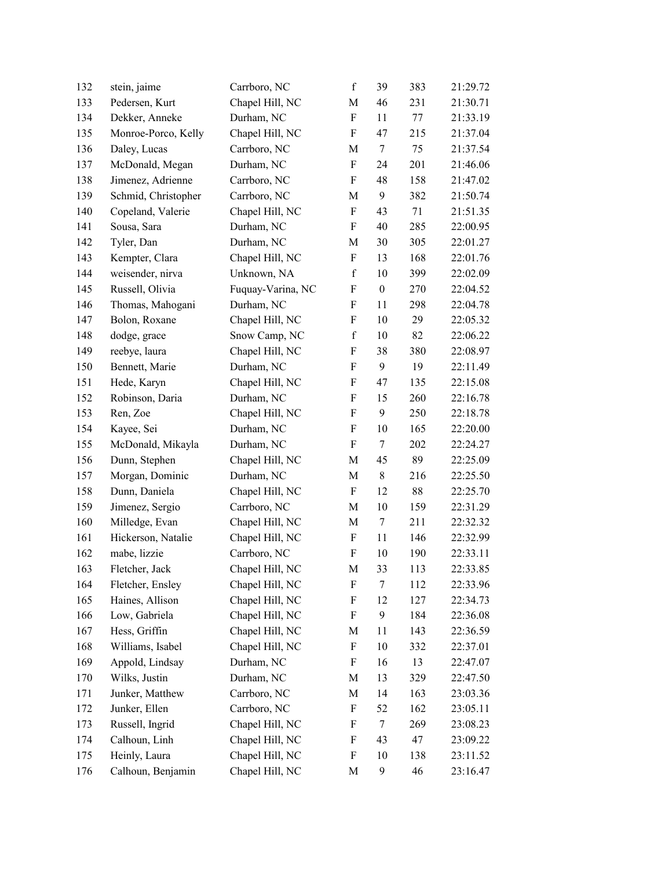| 132 | stein, jaime        | Carrboro, NC      | $\mathbf f$               | 39               | 383 | 21:29.72 |
|-----|---------------------|-------------------|---------------------------|------------------|-----|----------|
| 133 | Pedersen, Kurt      | Chapel Hill, NC   | M                         | 46               | 231 | 21:30.71 |
| 134 | Dekker, Anneke      | Durham, NC        | $\boldsymbol{\mathrm{F}}$ | 11               | 77  | 21:33.19 |
| 135 | Monroe-Porco, Kelly | Chapel Hill, NC   | $\boldsymbol{\mathrm{F}}$ | 47               | 215 | 21:37.04 |
| 136 | Daley, Lucas        | Carrboro, NC      | M                         | $\tau$           | 75  | 21:37.54 |
| 137 | McDonald, Megan     | Durham, NC        | ${\bf F}$                 | 24               | 201 | 21:46.06 |
| 138 | Jimenez, Adrienne   | Carrboro, NC      | F                         | 48               | 158 | 21:47.02 |
| 139 | Schmid, Christopher | Carrboro, NC      | M                         | 9                | 382 | 21:50.74 |
| 140 | Copeland, Valerie   | Chapel Hill, NC   | F                         | 43               | 71  | 21:51.35 |
| 141 | Sousa, Sara         | Durham, NC        | F                         | 40               | 285 | 22:00.95 |
| 142 | Tyler, Dan          | Durham, NC        | M                         | 30               | 305 | 22:01.27 |
| 143 | Kempter, Clara      | Chapel Hill, NC   | $\boldsymbol{\mathrm{F}}$ | 13               | 168 | 22:01.76 |
| 144 | weisender, nirva    | Unknown, NA       | $\mathbf f$               | 10               | 399 | 22:02.09 |
| 145 | Russell, Olivia     | Fuquay-Varina, NC | F                         | $\boldsymbol{0}$ | 270 | 22:04.52 |
| 146 | Thomas, Mahogani    | Durham, NC        | F                         | 11               | 298 | 22:04.78 |
| 147 | Bolon, Roxane       | Chapel Hill, NC   | $\boldsymbol{\mathrm{F}}$ | 10               | 29  | 22:05.32 |
| 148 | dodge, grace        | Snow Camp, NC     | $\mathbf f$               | 10               | 82  | 22:06.22 |
| 149 | reebye, laura       | Chapel Hill, NC   | $\boldsymbol{\mathrm{F}}$ | 38               | 380 | 22:08.97 |
| 150 | Bennett, Marie      | Durham, NC        | $\boldsymbol{\mathrm{F}}$ | 9                | 19  | 22:11.49 |
| 151 | Hede, Karyn         | Chapel Hill, NC   | F                         | 47               | 135 | 22:15.08 |
| 152 | Robinson, Daria     | Durham, NC        | F                         | 15               | 260 | 22:16.78 |
| 153 | Ren, Zoe            | Chapel Hill, NC   | $\boldsymbol{\mathrm{F}}$ | 9                | 250 | 22:18.78 |
| 154 | Kayee, Sei          | Durham, NC        | F                         | 10               | 165 | 22:20.00 |
| 155 | McDonald, Mikayla   | Durham, NC        | $\boldsymbol{\mathrm{F}}$ | $\tau$           | 202 | 22:24.27 |
| 156 | Dunn, Stephen       | Chapel Hill, NC   | M                         | 45               | 89  | 22:25.09 |
| 157 | Morgan, Dominic     | Durham, NC        | M                         | $8\,$            | 216 | 22:25.50 |
| 158 | Dunn, Daniela       | Chapel Hill, NC   | $\boldsymbol{\mathrm{F}}$ | 12               | 88  | 22:25.70 |
| 159 | Jimenez, Sergio     | Carrboro, NC      | $\mathbf M$               | 10               | 159 | 22:31.29 |
| 160 | Milledge, Evan      | Chapel Hill, NC   | M                         | 7                | 211 | 22:32.32 |
| 161 | Hickerson, Natalie  | Chapel Hill, NC   | F                         | 11               | 146 | 22:32.99 |
| 162 | mabe, lizzie        | Carrboro, NC      | ${\bf F}$                 | 10               | 190 | 22:33.11 |
| 163 | Fletcher, Jack      | Chapel Hill, NC   | M                         | 33               | 113 | 22:33.85 |
| 164 | Fletcher, Ensley    | Chapel Hill, NC   | F                         | 7                | 112 | 22:33.96 |
| 165 | Haines, Allison     | Chapel Hill, NC   | $\boldsymbol{\mathrm{F}}$ | 12               | 127 | 22:34.73 |
| 166 | Low, Gabriela       | Chapel Hill, NC   | $\boldsymbol{\mathrm{F}}$ | 9                | 184 | 22:36.08 |
| 167 | Hess, Griffin       | Chapel Hill, NC   | M                         | 11               | 143 | 22:36.59 |
| 168 | Williams, Isabel    | Chapel Hill, NC   | F                         | 10               | 332 | 22:37.01 |
| 169 | Appold, Lindsay     | Durham, NC        | F                         | 16               | 13  | 22:47.07 |
| 170 | Wilks, Justin       | Durham, NC        | M                         | 13               | 329 | 22:47.50 |
| 171 | Junker, Matthew     | Carrboro, NC      | M                         | 14               | 163 | 23:03.36 |
| 172 | Junker, Ellen       | Carrboro, NC      | F                         | 52               | 162 | 23:05.11 |
| 173 | Russell, Ingrid     | Chapel Hill, NC   | $\boldsymbol{\mathrm{F}}$ | $\tau$           | 269 | 23:08.23 |
| 174 | Calhoun, Linh       | Chapel Hill, NC   | F                         | 43               | 47  | 23:09.22 |
| 175 | Heinly, Laura       | Chapel Hill, NC   | F                         | 10               | 138 | 23:11.52 |
| 176 | Calhoun, Benjamin   | Chapel Hill, NC   | M                         | 9                | 46  | 23:16.47 |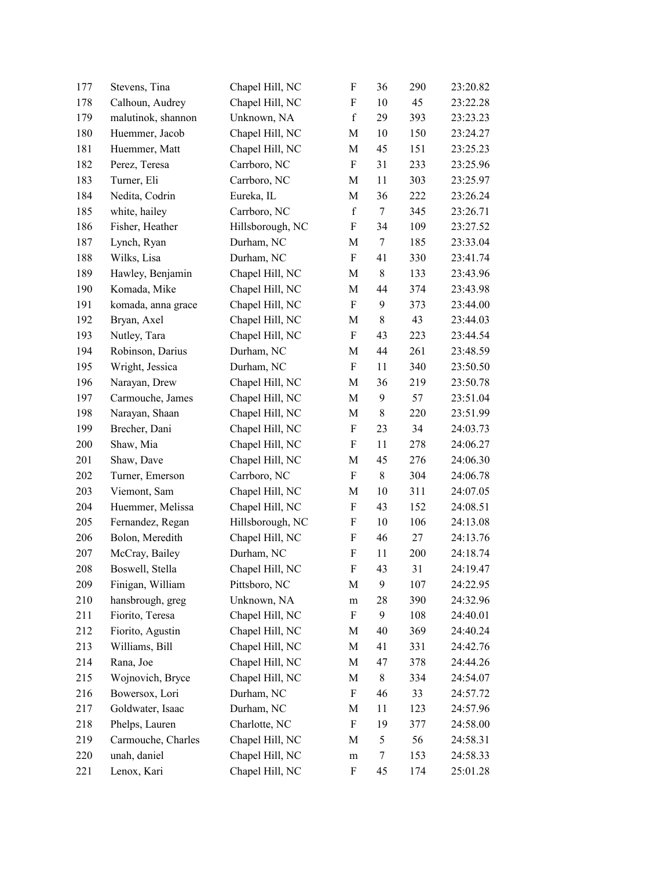| 177 | Stevens, Tina      | Chapel Hill, NC  | $\boldsymbol{\mathrm{F}}$ | 36     | 290 | 23:20.82 |
|-----|--------------------|------------------|---------------------------|--------|-----|----------|
| 178 | Calhoun, Audrey    | Chapel Hill, NC  | F                         | 10     | 45  | 23:22.28 |
| 179 | malutinok, shannon | Unknown, NA      | $\mathbf f$               | 29     | 393 | 23:23.23 |
| 180 | Huemmer, Jacob     | Chapel Hill, NC  | M                         | 10     | 150 | 23:24.27 |
| 181 | Huemmer, Matt      | Chapel Hill, NC  | M                         | 45     | 151 | 23:25.23 |
| 182 | Perez, Teresa      | Carrboro, NC     | $\rm F$                   | 31     | 233 | 23:25.96 |
| 183 | Turner, Eli        | Carrboro, NC     | M                         | 11     | 303 | 23:25.97 |
| 184 | Nedita, Codrin     | Eureka, IL       | M                         | 36     | 222 | 23:26.24 |
| 185 | white, hailey      | Carrboro, NC     | $\mathbf f$               | $\tau$ | 345 | 23:26.71 |
| 186 | Fisher, Heather    | Hillsborough, NC | F                         | 34     | 109 | 23:27.52 |
| 187 | Lynch, Ryan        | Durham, NC       | M                         | 7      | 185 | 23:33.04 |
| 188 | Wilks, Lisa        | Durham, NC       | $\boldsymbol{\mathrm{F}}$ | 41     | 330 | 23:41.74 |
| 189 | Hawley, Benjamin   | Chapel Hill, NC  | M                         | $8\,$  | 133 | 23:43.96 |
| 190 | Komada, Mike       | Chapel Hill, NC  | M                         | 44     | 374 | 23:43.98 |
| 191 | komada, anna grace | Chapel Hill, NC  | $\boldsymbol{\mathrm{F}}$ | 9      | 373 | 23:44.00 |
| 192 | Bryan, Axel        | Chapel Hill, NC  | M                         | $8\,$  | 43  | 23:44.03 |
| 193 | Nutley, Tara       | Chapel Hill, NC  | $\rm F$                   | 43     | 223 | 23:44.54 |
| 194 | Robinson, Darius   | Durham, NC       | M                         | 44     | 261 | 23:48.59 |
| 195 | Wright, Jessica    | Durham, NC       | $\boldsymbol{\mathrm{F}}$ | 11     | 340 | 23:50.50 |
| 196 | Narayan, Drew      | Chapel Hill, NC  | M                         | 36     | 219 | 23:50.78 |
| 197 | Carmouche, James   | Chapel Hill, NC  | M                         | 9      | 57  | 23:51.04 |
| 198 | Narayan, Shaan     | Chapel Hill, NC  | M                         | $8\,$  | 220 | 23:51.99 |
| 199 | Brecher, Dani      | Chapel Hill, NC  | $\boldsymbol{\mathrm{F}}$ | 23     | 34  | 24:03.73 |
| 200 | Shaw, Mia          | Chapel Hill, NC  | F                         | 11     | 278 | 24:06.27 |
| 201 | Shaw, Dave         | Chapel Hill, NC  | M                         | 45     | 276 | 24:06.30 |
| 202 | Turner, Emerson    | Carrboro, NC     | $\boldsymbol{F}$          | $8\,$  | 304 | 24:06.78 |
| 203 | Viemont, Sam       | Chapel Hill, NC  | M                         | 10     | 311 | 24:07.05 |
| 204 | Huemmer, Melissa   | Chapel Hill, NC  | $\boldsymbol{\mathrm{F}}$ | 43     | 152 | 24:08.51 |
| 205 | Fernandez, Regan   | Hillsborough, NC | F                         | 10     | 106 | 24:13.08 |
| 206 | Bolon, Meredith    | Chapel Hill, NC  | F                         | 46     | 27  | 24:13.76 |
| 207 | McCray, Bailey     | Durham, NC       | $\boldsymbol{\mathrm{F}}$ | 11     | 200 | 24:18.74 |
| 208 | Boswell, Stella    | Chapel Hill, NC  | F                         | 43     | 31  | 24:19.47 |
| 209 | Finigan, William   | Pittsboro, NC    | M                         | 9      | 107 | 24:22.95 |
| 210 | hansbrough, greg   | Unknown, NA      | m                         | 28     | 390 | 24:32.96 |
| 211 | Fiorito, Teresa    | Chapel Hill, NC  | F                         | 9      | 108 | 24:40.01 |
| 212 | Fiorito, Agustin   | Chapel Hill, NC  | M                         | 40     | 369 | 24:40.24 |
| 213 | Williams, Bill     | Chapel Hill, NC  | M                         | 41     | 331 | 24:42.76 |
| 214 | Rana, Joe          | Chapel Hill, NC  | M                         | 47     | 378 | 24:44.26 |
| 215 | Wojnovich, Bryce   | Chapel Hill, NC  | M                         | $8\,$  | 334 | 24:54.07 |
| 216 | Bowersox, Lori     | Durham, NC       | $\boldsymbol{\mathrm{F}}$ | 46     | 33  | 24:57.72 |
| 217 | Goldwater, Isaac   | Durham, NC       | M                         | 11     | 123 | 24:57.96 |
| 218 | Phelps, Lauren     | Charlotte, NC    | $\boldsymbol{\mathrm{F}}$ | 19     | 377 | 24:58.00 |
| 219 | Carmouche, Charles | Chapel Hill, NC  | M                         | 5      | 56  | 24:58.31 |
| 220 | unah, daniel       | Chapel Hill, NC  | ${\rm m}$                 | 7      | 153 | 24:58.33 |
| 221 | Lenox, Kari        | Chapel Hill, NC  | F                         | 45     | 174 | 25:01.28 |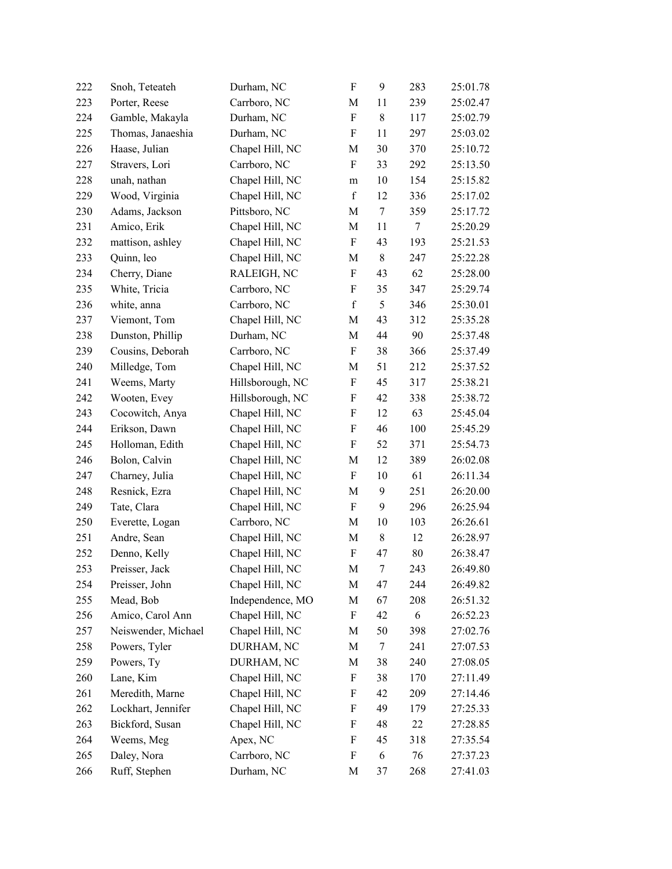| 222 | Snoh, Teteateh      | Durham, NC       | $\rm F$                   | 9              | 283 | 25:01.78 |
|-----|---------------------|------------------|---------------------------|----------------|-----|----------|
| 223 | Porter, Reese       | Carrboro, NC     | M                         | 11             | 239 | 25:02.47 |
| 224 | Gamble, Makayla     | Durham, NC       | ${\bf F}$                 | 8              | 117 | 25:02.79 |
| 225 | Thomas, Janaeshia   | Durham, NC       | F                         | 11             | 297 | 25:03.02 |
| 226 | Haase, Julian       | Chapel Hill, NC  | M                         | 30             | 370 | 25:10.72 |
| 227 | Stravers, Lori      | Carrboro, NC     | $\boldsymbol{\mathrm{F}}$ | 33             | 292 | 25:13.50 |
| 228 | unah, nathan        | Chapel Hill, NC  | m                         | 10             | 154 | 25:15.82 |
| 229 | Wood, Virginia      | Chapel Hill, NC  | $\mathbf f$               | 12             | 336 | 25:17.02 |
| 230 | Adams, Jackson      | Pittsboro, NC    | M                         | 7              | 359 | 25:17.72 |
| 231 | Amico, Erik         | Chapel Hill, NC  | M                         | 11             | 7   | 25:20.29 |
| 232 | mattison, ashley    | Chapel Hill, NC  | $\boldsymbol{\mathrm{F}}$ | 43             | 193 | 25:21.53 |
| 233 | Quinn, leo          | Chapel Hill, NC  | M                         | $8\,$          | 247 | 25:22.28 |
| 234 | Cherry, Diane       | RALEIGH, NC      | $\boldsymbol{\mathrm{F}}$ | 43             | 62  | 25:28.00 |
| 235 | White, Tricia       | Carrboro, NC     | F                         | 35             | 347 | 25:29.74 |
| 236 | white, anna         | Carrboro, NC     | $\mathbf f$               | 5              | 346 | 25:30.01 |
| 237 | Viemont, Tom        | Chapel Hill, NC  | M                         | 43             | 312 | 25:35.28 |
| 238 | Dunston, Phillip    | Durham, NC       | $\mathbf M$               | 44             | 90  | 25:37.48 |
| 239 | Cousins, Deborah    | Carrboro, NC     | $\boldsymbol{\mathrm{F}}$ | 38             | 366 | 25:37.49 |
| 240 | Milledge, Tom       | Chapel Hill, NC  | M                         | 51             | 212 | 25:37.52 |
| 241 | Weems, Marty        | Hillsborough, NC | $\boldsymbol{\mathrm{F}}$ | 45             | 317 | 25:38.21 |
| 242 | Wooten, Evey        | Hillsborough, NC | F                         | 42             | 338 | 25:38.72 |
| 243 | Cocowitch, Anya     | Chapel Hill, NC  | $\boldsymbol{\mathrm{F}}$ | 12             | 63  | 25:45.04 |
| 244 | Erikson, Dawn       | Chapel Hill, NC  | $\boldsymbol{\mathrm{F}}$ | 46             | 100 | 25:45.29 |
| 245 | Holloman, Edith     | Chapel Hill, NC  | F                         | 52             | 371 | 25:54.73 |
| 246 | Bolon, Calvin       | Chapel Hill, NC  | M                         | 12             | 389 | 26:02.08 |
| 247 | Charney, Julia      | Chapel Hill, NC  | $\boldsymbol{\mathrm{F}}$ | 10             | 61  | 26:11.34 |
| 248 | Resnick, Ezra       | Chapel Hill, NC  | M                         | 9              | 251 | 26:20.00 |
| 249 | Tate, Clara         | Chapel Hill, NC  | $\rm F$                   | 9              | 296 | 26:25.94 |
| 250 | Everette, Logan     | Carrboro, NC     | M                         | 10             | 103 | 26:26.61 |
| 251 | Andre, Sean         | Chapel Hill, NC  | М                         | $8\,$          | 12  | 26:28.97 |
| 252 | Denno, Kelly        | Chapel Hill, NC  | ${\bf F}$                 | 47             | 80  | 26:38.47 |
| 253 | Preisser, Jack      | Chapel Hill, NC  | M                         | $\overline{7}$ | 243 | 26:49.80 |
| 254 | Preisser, John      | Chapel Hill, NC  | М                         | 47             | 244 | 26:49.82 |
| 255 | Mead, Bob           | Independence, MO | М                         | 67             | 208 | 26:51.32 |
| 256 | Amico, Carol Ann    | Chapel Hill, NC  | F                         | 42             | 6   | 26:52.23 |
| 257 | Neiswender, Michael | Chapel Hill, NC  | M                         | 50             | 398 | 27:02.76 |
| 258 | Powers, Tyler       | DURHAM, NC       | M                         | 7              | 241 | 27:07.53 |
| 259 | Powers, Ty          | DURHAM, NC       | М                         | 38             | 240 | 27:08.05 |
| 260 | Lane, Kim           | Chapel Hill, NC  | F                         | 38             | 170 | 27:11.49 |
| 261 | Meredith, Marne     | Chapel Hill, NC  | F                         | 42             | 209 | 27:14.46 |
| 262 | Lockhart, Jennifer  | Chapel Hill, NC  | F                         | 49             | 179 | 27:25.33 |
| 263 | Bickford, Susan     | Chapel Hill, NC  | F                         | 48             | 22  | 27:28.85 |
| 264 | Weems, Meg          | Apex, NC         | F                         | 45             | 318 | 27:35.54 |
| 265 | Daley, Nora         | Carrboro, NC     | F                         | 6              | 76  | 27:37.23 |
| 266 | Ruff, Stephen       | Durham, NC       | M                         | 37             | 268 | 27:41.03 |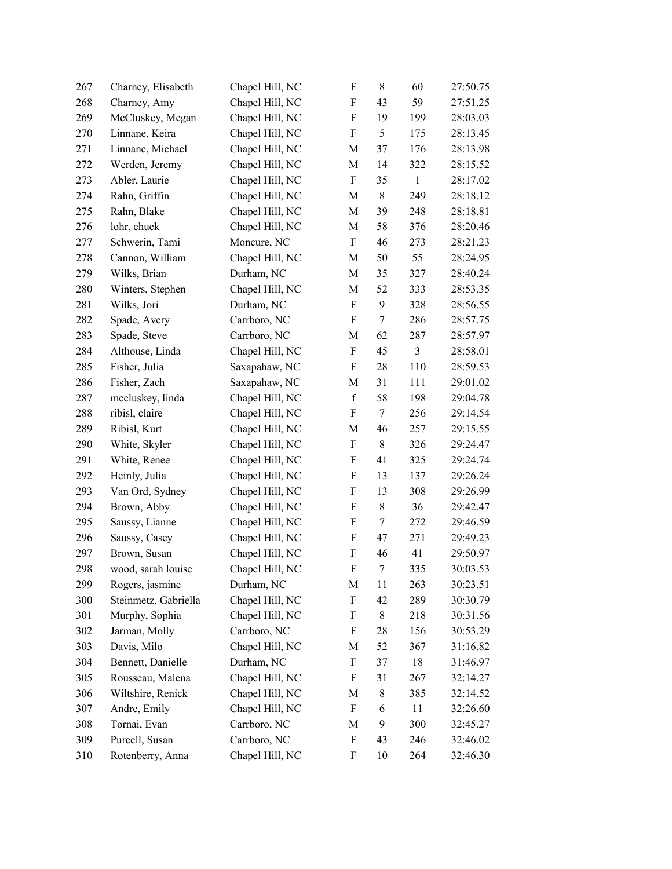| 267 | Charney, Elisabeth   | Chapel Hill, NC | $\boldsymbol{\mathrm{F}}$ | 8              | 60             | 27:50.75 |
|-----|----------------------|-----------------|---------------------------|----------------|----------------|----------|
| 268 | Charney, Amy         | Chapel Hill, NC | F                         | 43             | 59             | 27:51.25 |
| 269 | McCluskey, Megan     | Chapel Hill, NC | F                         | 19             | 199            | 28:03.03 |
| 270 | Linnane, Keira       | Chapel Hill, NC | $\boldsymbol{F}$          | 5              | 175            | 28:13.45 |
| 271 | Linnane, Michael     | Chapel Hill, NC | M                         | 37             | 176            | 28:13.98 |
| 272 | Werden, Jeremy       | Chapel Hill, NC | $\mathbf M$               | 14             | 322            | 28:15.52 |
| 273 | Abler, Laurie        | Chapel Hill, NC | F                         | 35             | $\mathbf{1}$   | 28:17.02 |
| 274 | Rahn, Griffin        | Chapel Hill, NC | M                         | 8              | 249            | 28:18.12 |
| 275 | Rahn, Blake          | Chapel Hill, NC | M                         | 39             | 248            | 28:18.81 |
| 276 | lohr, chuck          | Chapel Hill, NC | M                         | 58             | 376            | 28:20.46 |
| 277 | Schwerin, Tami       | Moncure, NC     | $\boldsymbol{\mathrm{F}}$ | 46             | 273            | 28:21.23 |
| 278 | Cannon, William      | Chapel Hill, NC | M                         | 50             | 55             | 28:24.95 |
| 279 | Wilks, Brian         | Durham, NC      | M                         | 35             | 327            | 28:40.24 |
| 280 | Winters, Stephen     | Chapel Hill, NC | M                         | 52             | 333            | 28:53.35 |
| 281 | Wilks, Jori          | Durham, NC      | $\boldsymbol{\mathrm{F}}$ | 9              | 328            | 28:56.55 |
| 282 | Spade, Avery         | Carrboro, NC    | F                         | 7              | 286            | 28:57.75 |
| 283 | Spade, Steve         | Carrboro, NC    | $\mathbf M$               | 62             | 287            | 28:57.97 |
| 284 | Althouse, Linda      | Chapel Hill, NC | $\boldsymbol{\mathrm{F}}$ | 45             | $\mathfrak{Z}$ | 28:58.01 |
| 285 | Fisher, Julia        | Saxapahaw, NC   | F                         | 28             | 110            | 28:59.53 |
| 286 | Fisher, Zach         | Saxapahaw, NC   | M                         | 31             | 111            | 29:01.02 |
| 287 | mccluskey, linda     | Chapel Hill, NC | $\mathbf f$               | 58             | 198            | 29:04.78 |
| 288 | ribisl, claire       | Chapel Hill, NC | F                         | $\tau$         | 256            | 29:14.54 |
| 289 | Ribisl, Kurt         | Chapel Hill, NC | M                         | 46             | 257            | 29:15.55 |
| 290 | White, Skyler        | Chapel Hill, NC | F                         | $8\,$          | 326            | 29:24.47 |
| 291 | White, Renee         | Chapel Hill, NC | F                         | 41             | 325            | 29:24.74 |
| 292 | Heinly, Julia        | Chapel Hill, NC | F                         | 13             | 137            | 29:26.24 |
| 293 | Van Ord, Sydney      | Chapel Hill, NC | F                         | 13             | 308            | 29:26.99 |
| 294 | Brown, Abby          | Chapel Hill, NC | F                         | $8\,$          | 36             | 29:42.47 |
| 295 | Saussy, Lianne       | Chapel Hill, NC | F                         | 7              | 272            | 29:46.59 |
| 296 | Saussy, Casey        | Chapel Hill, NC | F                         | 47             | 271            | 29:49.23 |
| 297 | Brown, Susan         | Chapel Hill, NC | $\boldsymbol{\mathrm{F}}$ | 46             | 41             | 29:50.97 |
| 298 | wood, sarah louise   | Chapel Hill, NC | F                         | $\overline{7}$ | 335            | 30:03.53 |
| 299 | Rogers, jasmine      | Durham, NC      | M                         | 11             | 263            | 30:23.51 |
| 300 | Steinmetz, Gabriella | Chapel Hill, NC | F                         | 42             | 289            | 30:30.79 |
| 301 | Murphy, Sophia       | Chapel Hill, NC | F                         | 8              | 218            | 30:31.56 |
| 302 | Jarman, Molly        | Carrboro, NC    | F                         | 28             | 156            | 30:53.29 |
| 303 | Davis, Milo          | Chapel Hill, NC | M                         | 52             | 367            | 31:16.82 |
| 304 | Bennett, Danielle    | Durham, NC      | F                         | 37             | 18             | 31:46.97 |
| 305 | Rousseau, Malena     | Chapel Hill, NC | F                         | 31             | 267            | 32:14.27 |
| 306 | Wiltshire, Renick    | Chapel Hill, NC | M                         | 8              | 385            | 32:14.52 |
| 307 | Andre, Emily         | Chapel Hill, NC | F                         | 6              | 11             | 32:26.60 |
| 308 | Tornai, Evan         | Carrboro, NC    | M                         | 9              | 300            | 32:45.27 |
| 309 | Purcell, Susan       | Carrboro, NC    | F                         | 43             | 246            | 32:46.02 |
| 310 | Rotenberry, Anna     | Chapel Hill, NC | F                         | 10             | 264            | 32:46.30 |